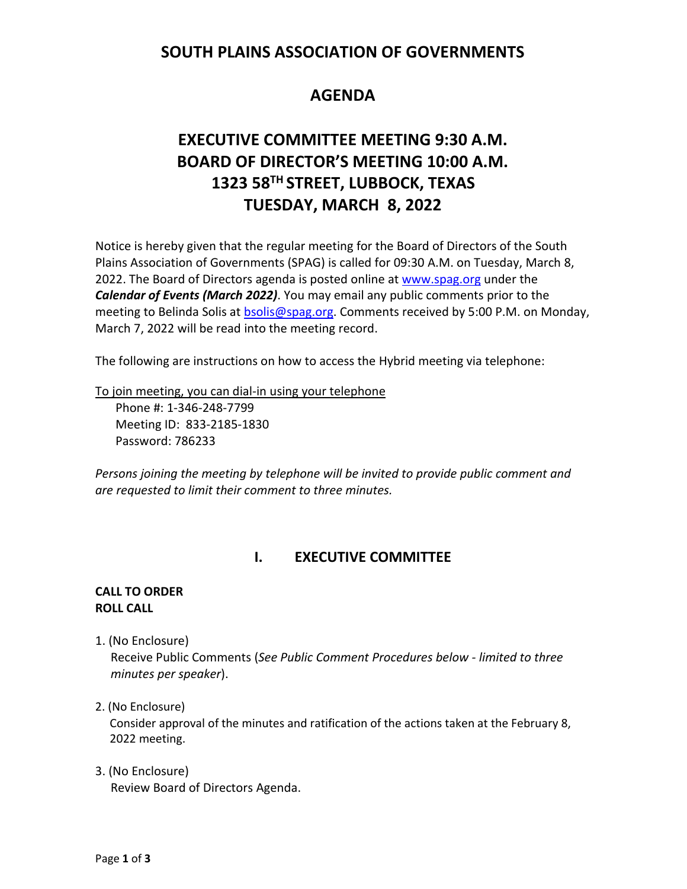# **SOUTH PLAINS ASSOCIATION OF GOVERNMENTS**

# **AGENDA**

# **EXECUTIVE COMMITTEE MEETING 9:30 A.M. BOARD OF DIRECTOR'S MEETING 10:00 A.M. 1323 58TH STREET, LUBBOCK, TEXAS TUESDAY, MARCH 8, 2022**

Notice is hereby given that the regular meeting for the Board of Directors of the South Plains Association of Governments (SPAG) is called for 09:30 A.M. on Tuesday, March 8, 2022. The Board of Directors agenda is posted online at [www.spag.org](http://www.spag.org/) under the *Calendar of Events (March 2022)*. You may email any public comments prior to the meeting to Belinda Solis at **bsolis@spag.org**. Comments received by 5:00 P.M. on Monday, March 7, 2022 will be read into the meeting record.

The following are instructions on how to access the Hybrid meeting via telephone:

To join meeting, you can dial-in using your telephone

Phone #: 1-346-248-7799 Meeting ID: 833-2185-1830 Password: 786233

*Persons joining the meeting by telephone will be invited to provide public comment and are requested to limit their comment to three minutes.*

## **I. EXECUTIVE COMMITTEE**

#### **CALL TO ORDER ROLL CALL**

1. (No Enclosure)

 Receive Public Comments (*See Public Comment Procedures below - limited to three minutes per speaker*).

#### 2. (No Enclosure)

Consider approval of the minutes and ratification of the actions taken at the February 8, 2022 meeting.

3. (No Enclosure) Review Board of Directors Agenda.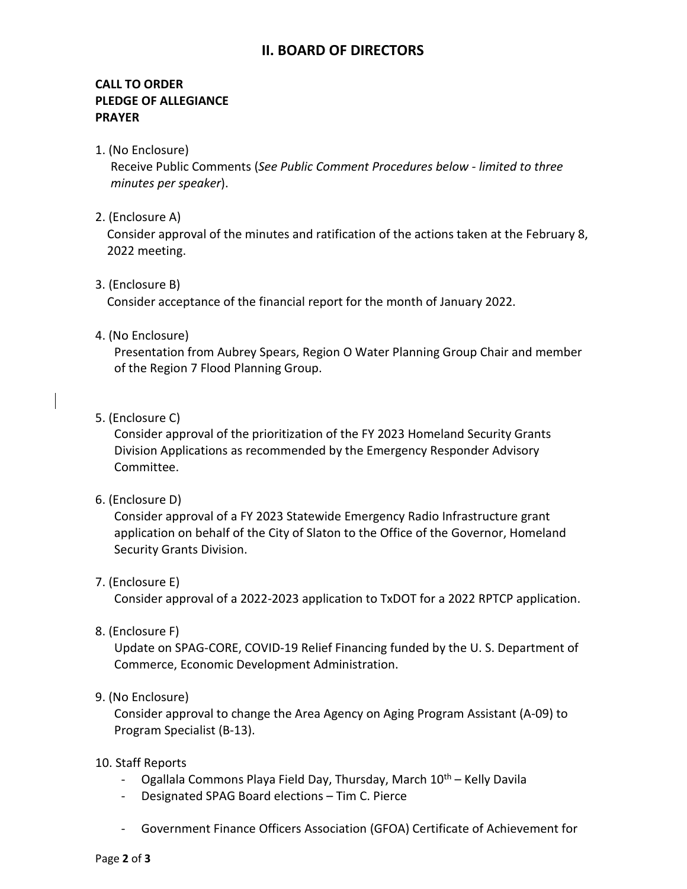## **II. BOARD OF DIRECTORS**

### **CALL TO ORDER PLEDGE OF ALLEGIANCE PRAYER**

1. (No Enclosure)

 Receive Public Comments (*See Public Comment Procedures below - limited to three minutes per speaker*).

2. (Enclosure A)

Consider approval of the minutes and ratification of the actions taken at the February 8, 2022 meeting.

3. (Enclosure B)

Consider acceptance of the financial report for the month of January 2022.

#### 4. (No Enclosure)

Presentation from Aubrey Spears, Region O Water Planning Group Chair and member of the Region 7 Flood Planning Group.

5. (Enclosure C)

Consider approval of the prioritization of the FY 2023 Homeland Security Grants Division Applications as recommended by the Emergency Responder Advisory Committee.

6. (Enclosure D)

Consider approval of a FY 2023 Statewide Emergency Radio Infrastructure grant application on behalf of the City of Slaton to the Office of the Governor, Homeland Security Grants Division.

#### 7. (Enclosure E)

Consider approval of a 2022-2023 application to TxDOT for a 2022 RPTCP application.

8. (Enclosure F)

Update on SPAG-CORE, COVID-19 Relief Financing funded by the U. S. Department of Commerce, Economic Development Administration.

#### 9. (No Enclosure)

Consider approval to change the Area Agency on Aging Program Assistant (A-09) to Program Specialist (B-13).

#### 10. Staff Reports

- Ogallala Commons Playa Field Day, Thursday, March 10<sup>th</sup> Kelly Davila
- Designated SPAG Board elections Tim C. Pierce
- Government Finance Officers Association (GFOA) Certificate of Achievement for